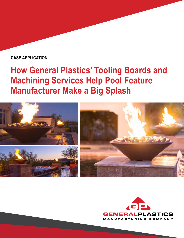### **CASE APPLICATION:**

# **How General Plastics' Tooling Boards and Machining Services Help Pool Feature Manufacturer Make a Big Splash**



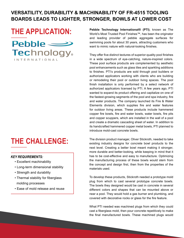### **VERSATILITY, DURABILITY & MACHINABILITY OF FR-4515 TOOLING BOARDS LEADS TO LIGHTER, STRONGER, BOWLS AT LOWER COST**

## **THE APPLICATION:**

 $Pebble \implies$ **Technology** 

INTERNATIONAL

### **THE CHALLENGE:**

#### *KEY REQUIREMENTS:*

- Excellent machinability
- Long-term dimensional stability
- Strength and durability
- Thermal stability for fiberglass molding processes
- Ease of mold release and reuse

**Pebble Technology International® (PTI)**, known as The World's Most Trusted Pool Finishes™, has been the originator and leading provider of pebble aggregate surfaces for swimming pools for about 30 years, attracting customers who want to mimic nature with natural-looking finishes.

They offer five distinct textures of superior-quality pool finishes in a wide spectrum of eye-catching, nature-inspired colors. These pool surface products are complemented by aesthetic pool enhancements such as glass tiles and sparkling additions to finishes. PTI's products are sold through pool builders or authorized applicators working with clients who are building or remodeling their pool or outdoor living spaces. The pool finish installation is only performed by a select network of authorized applicators licensed by PTI. A few years ago, PTI wanted to expand its product offering and capitalize on one of the fastest-growing segments of the pool and spa industry, fire and water products. The company launched its Fire & Water Elements division, which supplies fire and water features for outdoor living areas. These products include hammered copper fire bowls, fire and water bowls, water bowls, fire pits and copper scuppers, which are installed in the wall of a pool and create a dramatic cascading sheet of water. In addition to its handcrafted hammered copper metal bowls, PTI planned to introduce mold-cast concrete bowls.

The division product manager, Oliver Stickroth, needed to take existing industry designs for concrete bowl products to the next level. Creating a better bowl meant making it stronger, more durable and better-looking, while keeping in mind that it has to be cost-effective and easy to manufacture. Optimizing the manufacturing process of these bowls would stem from the concept and design first, then from the properties of the materials used.

To develop these products, Stickroth needed a prototype mold plug from which to cast several prototype concrete bowls. The bowls they designed would be cast in concrete in several different colors and shapes that can be mounted above or near a pool. They would hold a gas burner and plumbing, and covered with decorative rocks or glass for the fire feature.

What PTI needed was machined plugs from which they could cast a fiberglass mold, then pour concrete repetitively to make the final manufactured bowls. These machined plugs would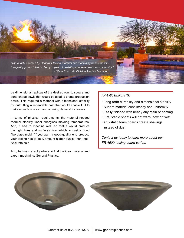

be dimensional replicas of the desired round, square and cone-shape bowls that would be used to create production bowls. This required a material with dimensional stability for outputting a repeatable cast that would enable PTI to make more bowls as manufacturing demand increases.

In terms of physical requirements, the material needed thermal stability under fiberglass molding temperatures. And, it had to machine well, so that it would produce the right lines and surfaces from which to cast a good fiberglass mold. "If you want a good-quality end product, your tooling has to be X-amount higher quality than that," Stickroth said.

And, he knew exactly where to find the ideal material and expert machining: General Plastics.

#### *FR-4500 BENEFITS:*

- Long-term durability and dimensional stability
- Superb material consistency and uniformity
- Easily finished with nearly any resin or coating
- Flat, stable sheets will not warp, bow or twist
- Anti-static foam boards create shavings instead of dust

*Contact us today to learn more about our FR-4500 tooling board series.*

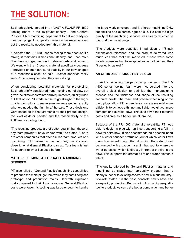# **THE SOLUTION:**

Stickroth quickly zeroed in on LAST-A-FOAM® FR-4500 Tooling Board in the 15-pound density – and General Plastics' CNC machining department to deliver ready-touse mold plugs. From past experience, he knew he could get the results he needed from this material.

"I selected the FR-4500 series tooling foam because it's strong, it maintains dimensional stability, and I can mold fiberglass and gel coat on it, release parts and reuse it. We went with the 15-pound material specifically because it provided enough structural stability in our bowl shapes at a reasonable cost," he said. Heavier densities really weren't necessary for what they were doing.

When considering potential materials for prototyping, Stickroth briefly considered hand molding out of clay, but given their time constraints and requirements, quickly ruled out that option. "It made sense to go straight to the highquality mold plugs to make sure we were getting exactly what we needed the first time," he said. These decisions were based on the requirements for their product design, the level of detail needed and the machinability of the 4500-series tooling foam.

"The resulting products are of better quality than those of any foam provider I have worked with," he stated. "There are other companies that offer similar foam products and machining, but I haven't worked with any that are even close to what General Plastics can do. Your foam is just far superior to what I've used before."

#### **MASTERFUL, MORE AFFORDABLE MACHINING SERVICES**

PTI also relied on General Plastics' machining capabilities to produce the mold plugs from which they cast fiberglass prototype and production molds. Stickroth explained that compared to their local resource, General Plastics' costs were lower, its tooling was large enough to handle the large work envelope, and it offered machining/CNC capabilities and expertise right on-site. He said the high quality of the machining services was clearly reflected in the produced mold plugs.

"The products were beautiful. I had given a 1/8-inch dimensional tolerance, and the product delivered was much less than that," he marveled. "There were some inserts where we had to swap out some molding and they fit perfectly, as well."

#### **AN OPTIMIZED PRODUCT BY DESIGN**

From the beginning, the particular properties of the FR-4500 series tooling foam were incorporated into the overall project design to optimize the manufacturing process and the thickness and shape of the resulting concrete bowls. The foam and precise machining of the mold plugs allow PTI to use less concrete material more efficiently to achieve a thinner and lighter-weight yet more compact and durable bowl. This cuts down their material costs and creates a better line all around.

Because of the FR-4500 material's versatility, PTI was able to design a plug with an insert supporting a full-rim bowl for a fire bowl. It also accommodated a second insert with a water scupper protrusion, out of which water flows through a guided trough, then down into the water. It can be plumbed with a copper insert in that spot to where the water egresses, which is directly in front of the fire in the bowl. This supports the dramatic fire and water elements effect.

"The quality afforded by General Plastics' material and machining translates into top-quality product that is clearly superior to existing concrete bowls in our industry," Stickroth stated. "In the past, concrete bowls have had low-quality production. But by going from a higher-quality tool to product, we can get a better compaction and better

<u> The Communication of the Communication of the Communication of the Communication of the Communication of the Communication of the Communication of the Communication of the Communication of the Communication of the Commun</u>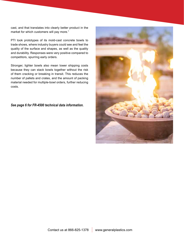cast, and that translates into clearly better product in the market for which customers will pay more."

PTI took prototypes of its mold-cast concrete bowls to trade shows, where industry buyers could see and feel the quality of the surface and shapes, as well as the quality and durability. Responses were very positive compared to competitors, spurring early orders.

Stronger, lighter bowls also mean lower shipping costs because they can stack bowls together without the risk of them cracking or breaking in transit. This reduces the number of pallets and crates, and the amount of packing material needed for multiple-bowl orders, further reducing costs.

*See page 6 for FR-4500 technical data information.*